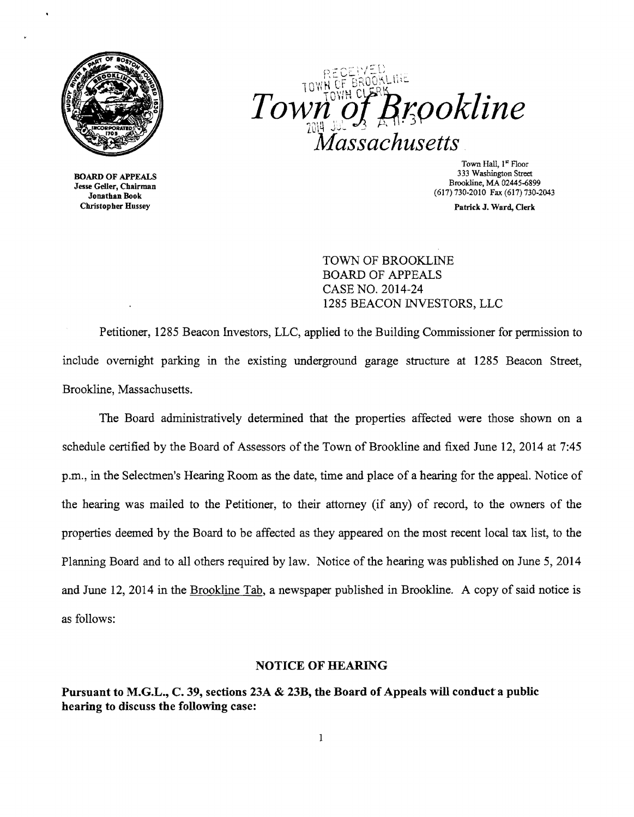

Christopher Hussey Patrick J. Ward, Clerk

Brookline Town lassachusetts

Town Hall, 1st Floor<br>333 Washington Street 333 Washington Street 333 Washington Street 333 Washington Street<br> **333 Washington Street** 5<br> **333 Washington Street** 5<br> **333 Washington Street** 5<br>
Brookline, MA 02445-6899<br> **333 Washington Street** 5<br>
Brookline, MA 02445-6

TOWN OF BROOKLINE BOARD OF APPEALS CASE NO. 2014-24 1285 BEACON lNVESTORS, LLC

Petitioner, 1285 Beacon Investors, LLC, applied to the Building Commissioner for permission to include overnight parking in the existing underground garage structure at 1285 Beacon Street, Brookline, Massachusetts.

The Board administratively determined that the properties affected were those shown on a schedule certified by the Board of Assessors of the Town of Brookline and fixed June 12,2014 at 7:45 p.m., in the Selectmen's Hearing Room as the date, time and place of a hearing for the appeal. Notice of the hearing was mailed to the Petitioner, to their attorney (if any) of record, to the owners of the properties deemed by the Board to be affected as they appeared on the most recent local tax list, to the Planning Board and to all others required by law. Notice of the hearing was published on June 5, 2014 and June 12, 2014 in the Brookline Tab, a newspaper published in Brookline. A copy of said notice is as follows:

## NOTICE OF BEARING

Pursuant to M.G.L., C. 39, sections 23A & 23B, the Board of Appeals will conduct a public hearing to discuss the following case: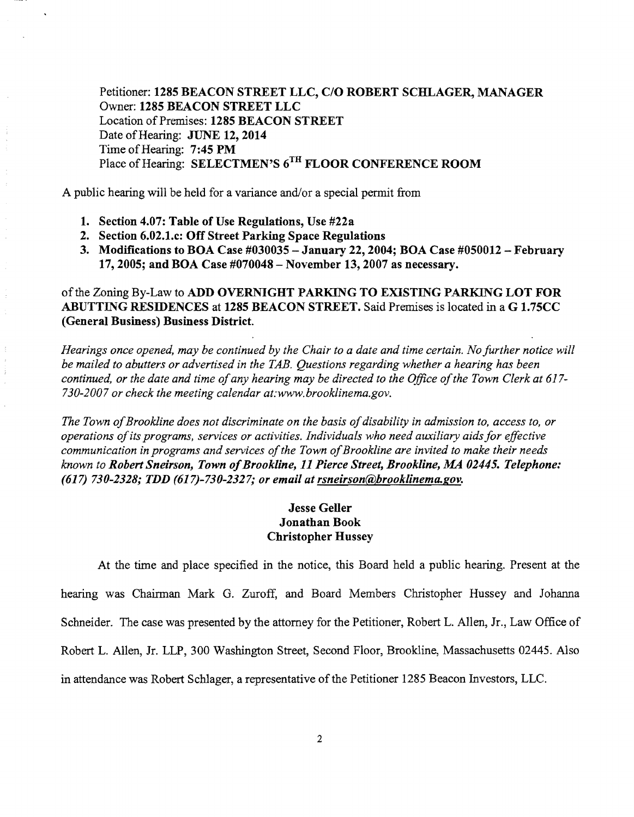Petitioner: 1285 BEACON STREET LLC, C/O ROBERT SCHLAGER, MANAGER Owner: 1285 BEACON STREET LLC Location of Premises: 1285 BEACON STREET Date of Hearing: JUNE 12, 2014 Time of Hearing: 7:45 PM Place of Hearing: SELECTMEN'S 6<sup>TH</sup> FLOOR CONFERENCE ROOM

A public hearing will be held for a variance and/or a special pennit from

- 1. Section 4.07: Table of Use Regulations, Use #22a
- 2. Section 6.02.1.c: Off Street Parking Space Regulations
- 3. Modifications to BOA Case #030035 January 22, 2004; BOA Case #050012 February 17,2005; and BOA Case #070048 - November 13,2007 as necessary.

## ofthe Zoning By-Law to ADD OVERNIGHT PARKING TO EXISTING PARKING LOT FOR ABUTTING RESIDENCES at 1285 BEACON STREET. Said Premises is located in a G 1.75CC (General Business) Business District.

*Hearings once opened, may be continued by the Chair to a date and time certain. No further notice will be mailed to abutters or advertised in the TAB. Questions regarding whether a hearing has been*  continued, or the date and time of any hearing may be directed to the Office of the Town Clerk at 617-*730-2007 or check the meeting calendar at:www.brooklinema.gov.* 

The Town of Brookline does not discriminate on the basis of disability in admission to, access to, or *operations ofits programs, services or activities. Individuals who need auxiliary aids for effective communication in programs and services of the Town of Brookline are invited to make their needs known to Robert Sneirson, Town of Brookline, 11 Pierce Street, Brookline, MA 02445. Telephone: (617) 730-2328; TDD (617)-730-2327; or email at rsneirson@brooklinema.gov.* 

## Jesse Geller Jonathan Book Christopher Hussey

At the time and place specified in the notice, this Board held a public hearing. Present at the hearing was Chairman Mark G. Zuroff, and Board Members Christopher Hussey and Johanna Schneider. The case was presented by the attorney for the Petitioner, Robert L. Allen, Jr., Law Office of Robert L. Allen, Jr. LLP, 300 Washington Street, Second Floor, Brookline, Massachusetts 02445. Also in attendance was Robert Schlager, a representative of the Petitioner 1285 Beacon Investors, LLC.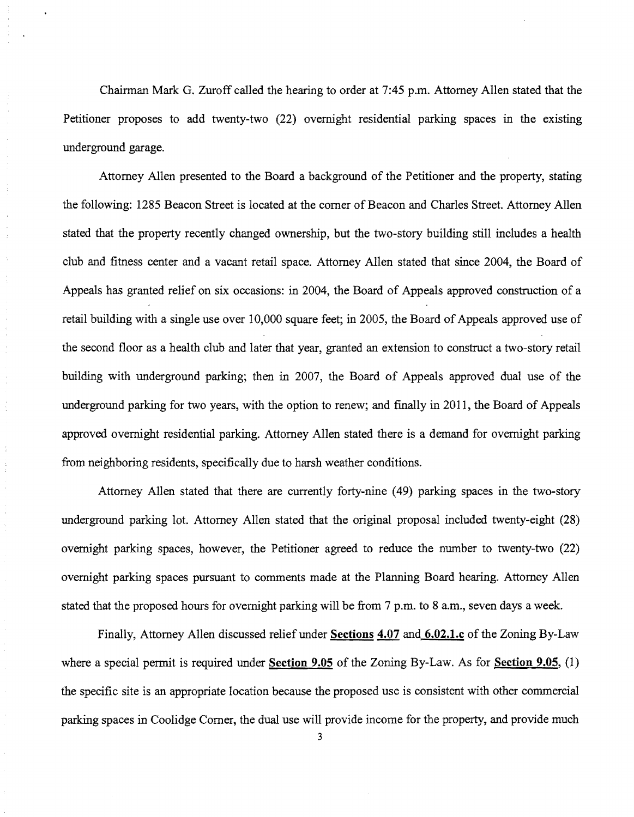Chainnan Mark G. Zuroff called the hearing to order at 7:45 p.m. Attorney Allen stated that the Petitioner proposes to add twenty-two (22) overnight residential parking spaces in the existing underground garage.

Attorney Allen presented to the Board a background of the Petitioner and the property, stating the following: 1285 Beacon Street is located at the comer of Beacon and Charles Street. Attorney Allen stated that the property recently changed ownership, but the two-story building still includes a health club and fitness center and a vacant retail space. Attorney Allen stated that since 2004, the Board of Appeals has granted relief on six occasions: in 2004, the Board of Appeals approved construction of a retail building with a single use over 10,000 square feet; in 2005, the Board of Appeals approved use of the second floor as a health club and later that year, granted an extension to construct a two-story retail building with underground parking; then in 2007, the Board of Appeals approved dual use of the underground parking for two years, with the option to renew; and finally in 2011, the Board of Appeals approved overnight residential parking. Attorney Allen stated there is a demand for overnight parking from neighboring residents, specifically due to harsh weather conditions.

 $\hat{\boldsymbol{\beta}}$  $\frac{1}{3}$  $\frac{\epsilon}{\epsilon}$ 

 $\frac{1}{2}$ 

Attorney Allen stated that there are currently forty-nine (49) parking spaces in the two-story underground parking lot. Attorney Allen stated that the original proposal included twenty-eight (28) overnight parking spaces, however, the Petitioner agreed to reduce the number to twenty-two (22) overnight parking spaces pursuant to comments made at the Planning Board hearing. Attorney Allen stated that the proposed hours for overnight parking will be from 7 p.m. to 8 a.m., seven days a week.

Finally, Attorney Allen discussed relief under **Sections 4.07 and 6.02.1.c** of the Zoning By-Law where a special permit is required under **Section 9.05** of the Zoning By-Law. As for **Section 9.05**, (1) the specific site is an appropriate location because the proposed use is consistent with other commercial parking spaces in Coolidge Comer, the dual use will provide income for the property, and provide much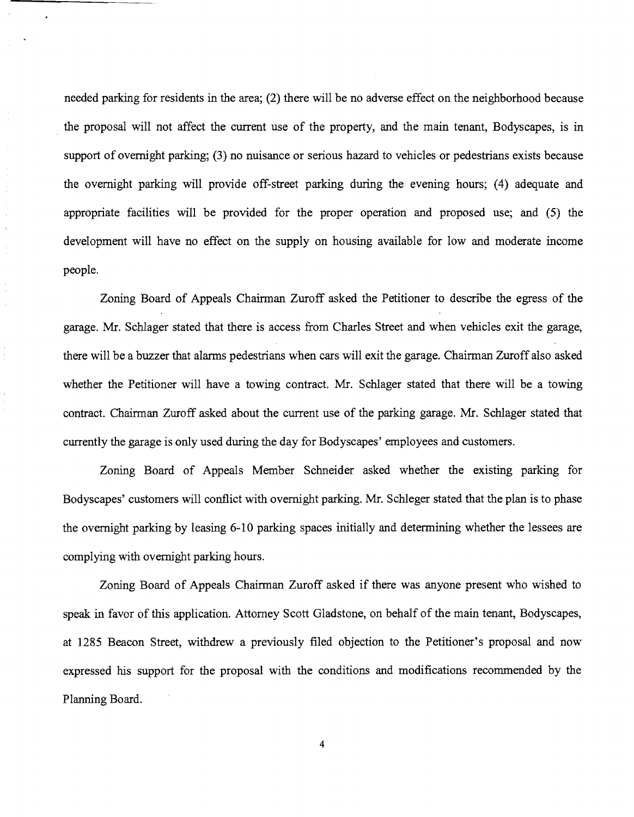needed parking for residents in the area; (2) there will be no adverse effect on the neighborhood because the proposal will not affect the current use of the property, and the main tenant, Bodyscapes, is in support of overnight parking; (3) no nuisance or serious hazard to vehicles or pedestrians exists because the overnight parking will provide off-street parking during the evening hours; (4) adequate and appropriate facilities will be provided for the proper operation and proposed use; and (5) the development will have no effect on the supply on housing available for low and moderate income people.

÷,  $\tilde{\boldsymbol{\zeta}}$  $\frac{1}{\epsilon}$  $\tilde{\mathbf{g}}_i$ 

> Zoning Board of Appeals Chairman Zuroff asked the Petitioner to describe the egress of the garage. Mr. Schlager stated that there is access from Charles Street and when vehicles exit the garage, there will be a buzzer that alarms pedestrians when cars will exit the garage. Chairman Zuroff also asked whether the Petitioner will have a towing contract. Mr. Schlager stated that there will be a towing contract. Chairman Zuroff asked about the current use of the parking garage. Mr. Schlager stated that currently the garage is only used during the day for Bodyscapes' employees and customers.

> Zoning Board of Appeals Member Schneider asked whether the existing parking for Bodyscapes' customers will conflict with overnight parking. Mr. Schleger stated that the plan is to phase the overnight parking by leasing 6-10 parking spaces initially and determining whether the lessees are complying with overnight parking hours.

> Zoning Board of Appeals Chairman Zuroff asked if there was anyone present who wished to speak in favor of this application. Attorney Scott Gladstone, on behalf of the main tenant, Bodyscapes, at 1285 Beacon Street, withdrew a previously filed objection to the Petitioner's proposal and now expressed his support for the proposal with the conditions and modifications recommended by the Planning Board.

> > 4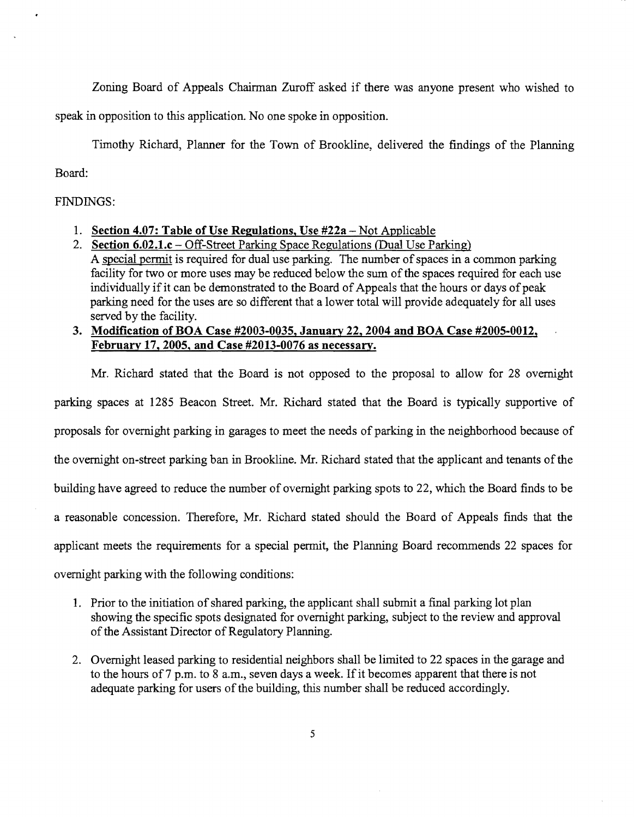Zoning Board of Appeals Chairman Zuroff asked if there was anyone present who wished to

speak in opposition to this application. No one spoke in opposition.

Timothy Richard, Planner for the Town of Brookline, delivered the findings of the Planning

Board:

## FINDINGS:

- 1. **Section 4.07: Table of Use Regulations, Use #22a**  Not Applicable
- 2. **Section 6.02.1.c** Off-Street Parking Space Regulations (Dual Use Parking) A special permit is required for dual use parking. The number of spaces in a common parking facility for two or more uses may be reduced below the sum of the spaces required for each use individually if it can be demonstrated to the Board of Appeals that the hours or days of peak parking need for the uses are so different that a lower total will provide adequately for all uses served by the facility.
- **3. Modification of BOA Case #2003-0035, January 22, 2004 and BOA Case #2005-0012, February 17, 2005, and Case #2013-0076 as necessary.**

Mr. Richard stated that the Board is not opposed to the proposal to allow for 28 overnight

parking spaces at 1285 Beacon Street. Mr. Richard stated that the Board is typically supportive of

proposals for overnight parking in garages to meet the needs of parking in the neighborhood because of

the overnight on-street parking ban in Brookline. Mr. Richard stated that the applicant and tenants of the

building have agreed to reduce the number of overnight parking spots to 22, which the Board finds to be

a reasonable concession. Therefore, Mr. Richard stated should the Board of Appeals finds that the

applicant meets the requirements for a special permit, the Planning Board recommends 22 spaces for

overnight parking with the following conditions:

- 1. Prior to the initiation of shared parking, the applicant shall submit a final parking lot plan showing the specific spots designated for overnight parking, subject to the review and approval of the Assistant Director of Regulatory Planning.
- 2. Ovemight leased parking to residential neighbors shall be limited to 22 spaces in the garage and to the hours of 7 p.m. to 8 a.m., seven days a week. If it becomes apparent that there is not adequate parking for users of the building, this number shall be reduced accordingly.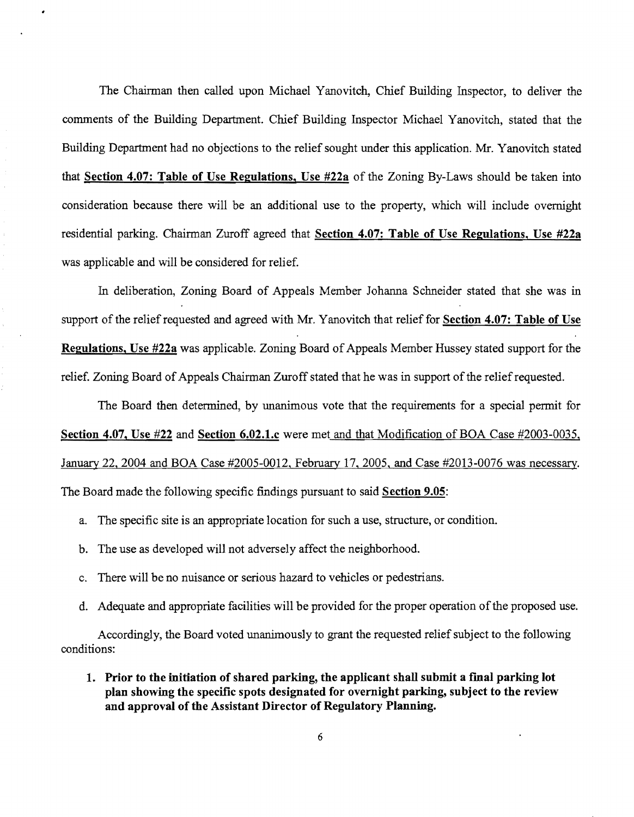The Chairman then called upon Michael Yanovitch, Chief Building Inspector, to deliver the comments of the Building Department. Chief Building Inspector Michael Yanovitch, stated that the Building Department had no objections to the relief sought under this application. Mr. Yanovitch stated that **Section 4.07: Table of Use Regulations, Use #22a** of the Zoning By-Laws should be taken into consideration because there will be an additional use to the property, which will include overnight residential parking. Chairman Zuroff agreed that Section 4.07: Table of Use Regulations, Use #22a was applicable and will be considered for relief.

In deliberation, Zoning Board of Appeals Member Johanna Schneider stated that she was in support of the relief requested and agreed with Mr. Yanovitch that relief for **Section 4.07: Table of Use Regulations, Use #22a** was applicable. Zoning Board of Appeals Member Hussey stated support for the relief. Zoning Board of Appeals Chairman Zuroff stated that he was in support of the relief requested.

The Board then detennined, by unanimous vote that the requirements for a special pennit for **Section 4.07, Use #22 and Section 6.02.1.c** were met and that Modification of BOA Case #2003-0035, January 22, 2004 and BOA Case #2005-0012, February 17, 2005, and Case #2013-0076 was necessary. The Board made the following specific findings pursuant to said **Section 9.05:** 

- a. The specific site is an appropriate location for such a use, structure, or condition.
- b. The use as developed will not adversely affect the neighborhood.
- c. There will be no nuisance or serious hazard to vehicles or pedestrians.
- d. Adequate and appropriate facilities will be provided for the proper operation of the proposed use.

Accordingly, the Board voted unanimously to grant the requested relief subject to the following conditions:

1. Prior to the initiation of shared parking, the applicant shall submit a final parking lot **plan showing the specific spots designated for overnight parking, subject to the review and approval of the Assistant Director of Regulatory Planning.**